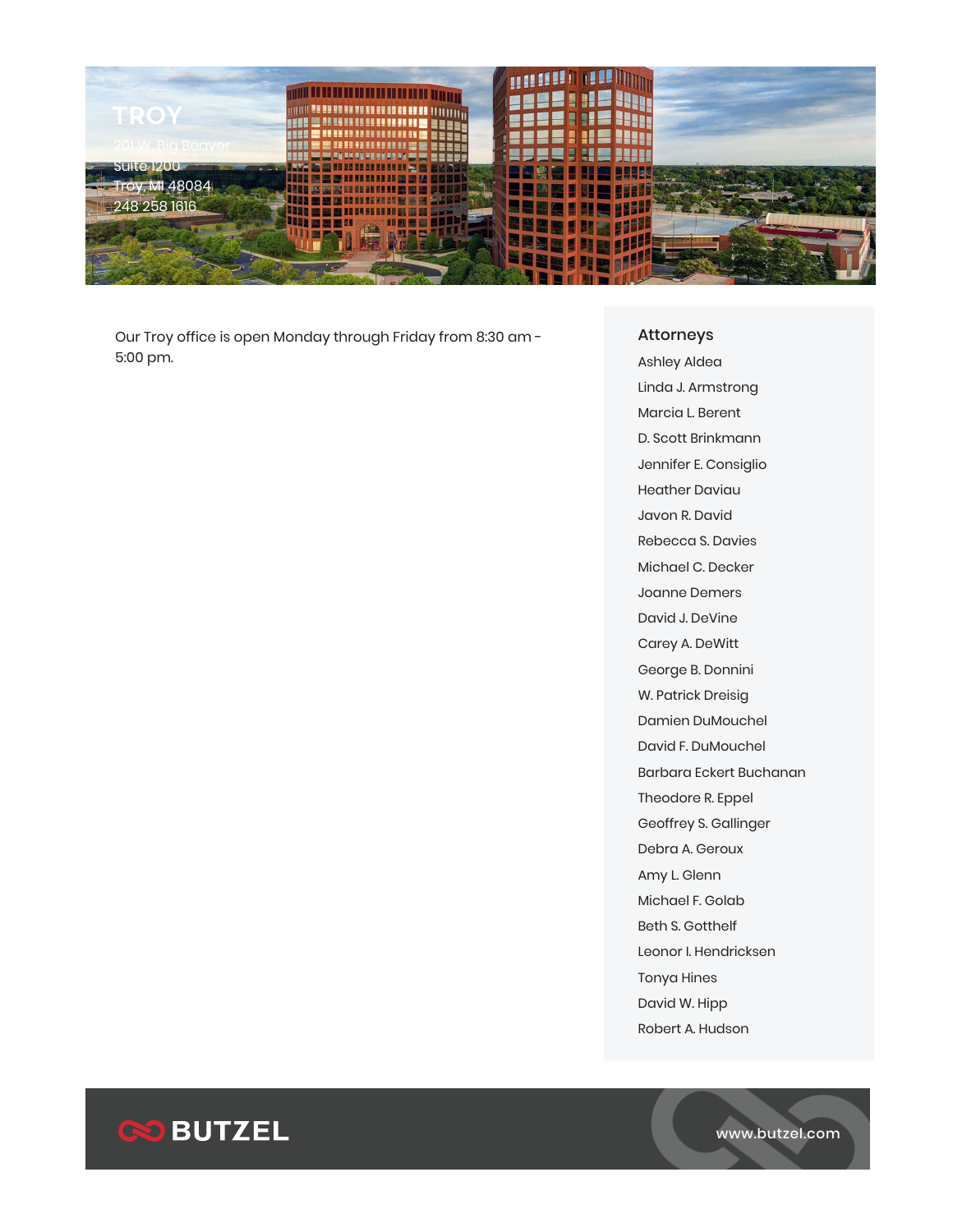

Our Troy office is open Monday through Friday from 8:30 am - 5:00 pm.

## Attorneys

Ashley Aldea Linda J. Armstrong Marcia L. Berent D. Scott Brinkmann Jennifer E. Consiglio Heather Daviau Javon R. David Rebecca S. Davies Michael C. Decker Joanne Demers David J. DeVine Carey A. DeWitt George B. Donnini W. Patrick Dreisig Damien DuMouchel David F. DuMouchel Barbara Eckert Buchanan Theodore R. Eppel Geoffrey S. Gallinger Debra A. Geroux Amy L. Glenn Michael F. Golab Beth S. Gotthelf Leonor I. Hendricksen Tonya Hines David W. Hipp Robert A. Hudson



www.butzel.com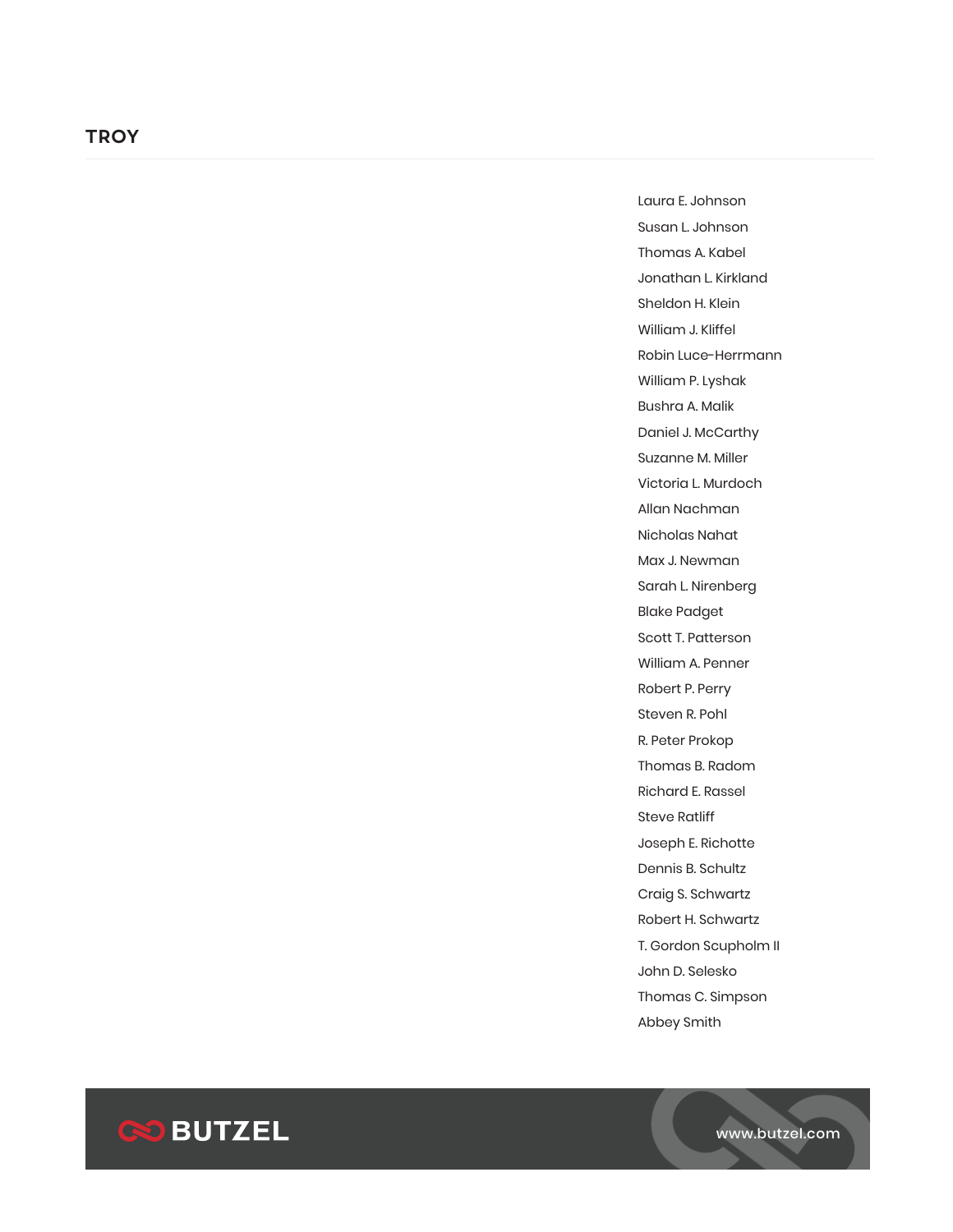Laura E. Johnson Susan L. Johnson Thomas A. Kabel Jonathan L. Kirkland Sheldon H. Klein William J. Kliffel Robin Luce-Herrmann William P. Lyshak Bushra A. Malik Daniel J. McCarthy Suzanne M. Miller Victoria L. Murdoch Allan Nachman Nicholas Nahat Max J. Newman Sarah L. Nirenberg Blake Padget Scott T. Patterson William A. Penner Robert P. Perry Steven R. Pohl R. Peter Prokop Thomas B. Radom Richard E. Rassel Steve Ratliff Joseph E. Richotte Dennis B. Schultz Craig S. Schwartz Robert H. Schwartz T. Gordon Scupholm II John D. Selesko Thomas C. Simpson Abbey Smith

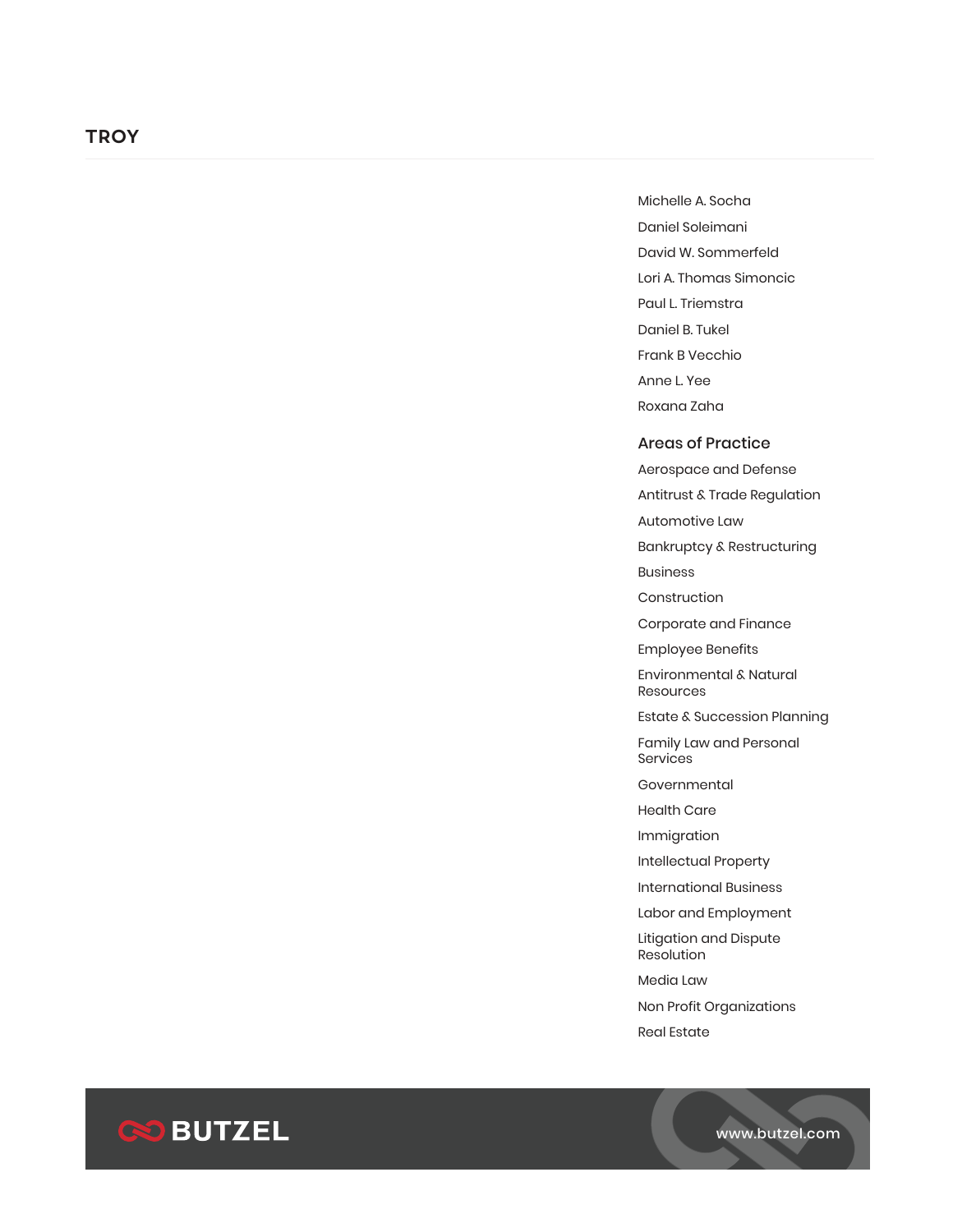## **TROY**

Michelle A. Socha Daniel Soleimani David W. Sommerfeld Lori A. Thomas Simoncic Paul L. Triemstra Daniel B. Tukel Frank B Vecchio Anne L. Yee Roxana Zaha

## Areas of Practice

Aerospace and Defense Antitrust & Trade Regulation

Automotive Law

Bankruptcy & Restructuring

Business

Construction

Corporate and Finance

Employee Benefits

Environmental & Natural Resources

Estate & Succession Planning

Family Law and Personal Services

Governmental

Health Care

Immigration

Intellectual Property

International Business

Labor and Employment

Litigation and Dispute Resolution

Media Law

Non Profit Organizations

Real Estate



www.butzel.com